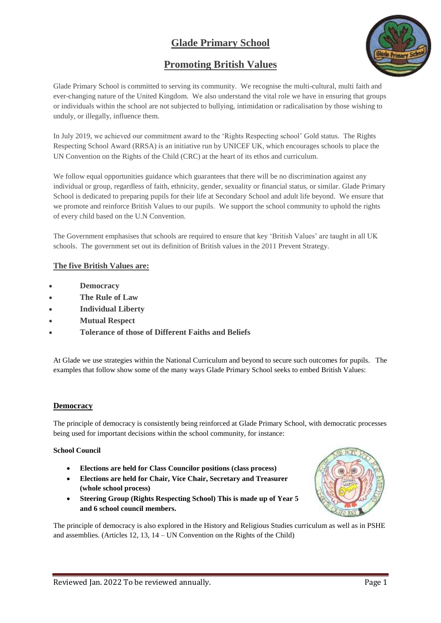# **Glade Primary School**

## **Promoting British Values**



Glade Primary School is committed to serving its community. We recognise the multi-cultural, multi faith and ever-changing nature of the United Kingdom. We also understand the vital role we have in ensuring that groups or individuals within the school are not subjected to bullying, intimidation or radicalisation by those wishing to unduly, or illegally, influence them.

In July 2019, we achieved our commitment award to the 'Rights Respecting school' Gold status. The Rights Respecting School Award (RRSA) is an initiative run by UNICEF UK, which encourages schools to place the UN Convention on the Rights of the Child (CRC) at the heart of its ethos and curriculum.

We follow equal opportunities guidance which guarantees that there will be no discrimination against any individual or group, regardless of faith, ethnicity, gender, sexuality or financial status, or similar. Glade Primary School is dedicated to preparing pupils for their life at Secondary School and adult life beyond. We ensure that we promote and reinforce British Values to our pupils. We support the school community to uphold the rights of every child based on the U.N Convention.

The Government emphasises that schools are required to ensure that key 'British Values' are taught in all UK schools. The government set out its definition of British values in the 2011 Prevent Strategy.

## **The five British Values are:**

- **Democracy**
- **The Rule of Law**
- **Individual Liberty**
- **Mutual Respect**
- **Tolerance of those of Different Faiths and Beliefs**

At Glade we use strategies within the National Curriculum and beyond to secure such outcomes for pupils. The examples that follow show some of the many ways Glade Primary School seeks to embed British Values:

## **Democracy**

The principle of democracy is consistently being reinforced at Glade Primary School, with democratic processes being used for important decisions within the school community, for instance:

#### **School Council**

- **Elections are held for Class Councilor positions (class process)**
- **Elections are held for Chair, Vice Chair, Secretary and Treasurer (whole school process)**
- **Steering Group (Rights Respecting School) This is made up of Year 5 and 6 school council members.**



The principle of democracy is also explored in the History and Religious Studies curriculum as well as in PSHE and assemblies. (Articles 12, 13, 14 – UN Convention on the Rights of the Child)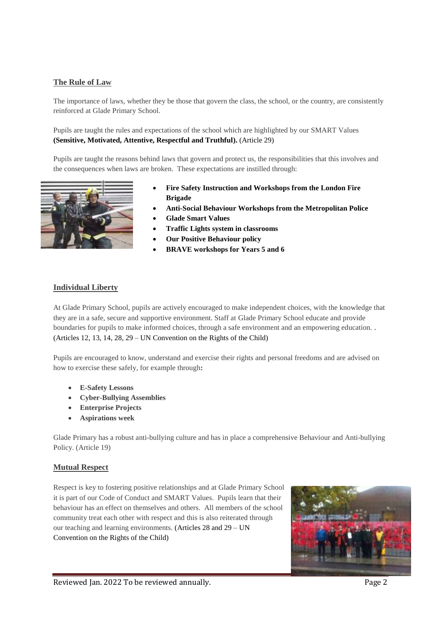## **The Rule of Law**

The importance of laws, whether they be those that govern the class, the school, or the country, are consistently reinforced at Glade Primary School.

Pupils are taught the rules and expectations of the school which are highlighted by our SMART Values **(Sensitive, Motivated, Attentive, Respectful and Truthful).** (Article 29)

Pupils are taught the reasons behind laws that govern and protect us, the responsibilities that this involves and the consequences when laws are broken. These expectations are instilled through:



- **Fire Safety Instruction and Workshops from the London Fire Brigade**
- **Anti-Social Behaviour Workshops from the Metropolitan Police**
- **Glade Smart Values**
- **Traffic Lights system in classrooms**
- **Our Positive Behaviour policy**
- **BRAVE workshops for Years 5 and 6**

#### **Individual Liberty**

At Glade Primary School, pupils are actively encouraged to make independent choices, with the knowledge that they are in a safe, secure and supportive environment. Staff at Glade Primary School educate and provide boundaries for pupils to make informed choices, through a safe environment and an empowering education. . (Articles 12, 13, 14, 28, 29 – UN Convention on the Rights of the Child)

Pupils are encouraged to know, understand and exercise their rights and personal freedoms and are advised on how to exercise these safely, for example through**:**

- **E-Safety Lessons**
- **Cyber-Bullying Assemblies**
- **Enterprise Projects**
- **Aspirations week**

Glade Primary has a robust anti-bullying culture and has in place a comprehensive Behaviour and Anti-bullying Policy. (Article 19)

#### **Mutual Respect**

Respect is key to fostering positive relationships and at Glade Primary School it is part of our Code of Conduct and SMART Values. Pupils learn that their behaviour has an effect on themselves and others. All members of the school community treat each other with respect and this is also reiterated through our teaching and learning environments. (Articles 28 and 29 – UN Convention on the Rights of the Child)